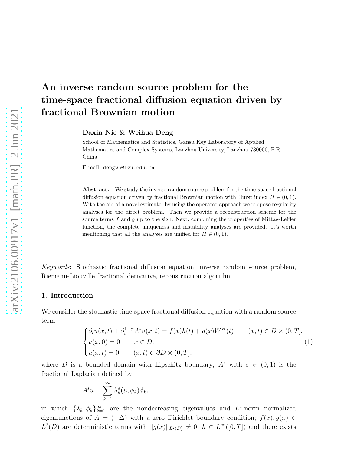# An inverse random source problem for the time-space fractional diffusion equation driven by fractional Brownian motion

Daxin Nie & Weihua Deng

School of Mathematics and Statistics, Gansu Key Laboratory of Applied Mathematics and Complex Systems, Lanzhou University, Lanzhou 730000, P.R. China

E-mail: dengwh@lzu.edu.cn

Abstract. We study the inverse random source problem for the time-space fractional diffusion equation driven by fractional Brownian motion with Hurst index  $H \in (0, 1)$ . With the aid of a novel estimate, by using the operator approach we propose regularity analyses for the direct problem. Then we provide a reconstruction scheme for the source terms  $f$  and  $g$  up to the sign. Next, combining the properties of Mittag-Leffler function, the complete uniqueness and instability analyses are provided. It's worth mentioning that all the analyses are unified for  $H \in (0, 1)$ .

Keywords: Stochastic fractional diffusion equation, inverse random source problem, Riemann-Liouville fractional derivative, reconstruction algorithm

#### 1. Introduction

We consider the stochastic time-space fractional diffusion equation with a random source term

<span id="page-0-0"></span>
$$
\begin{cases} \partial_t u(x,t) + \partial_t^{1-\alpha} A^s u(x,t) = f(x)h(t) + g(x)\dot{W}^H(t) & (x,t) \in D \times (0,T], \\ u(x,0) = 0 & x \in D, \\ u(x,t) = 0 & (x,t) \in \partial D \times (0,T], \end{cases}
$$
(1)

where D is a bounded domain with Lipschitz boundary;  $A^s$  with  $s \in (0,1)$  is the fractional Laplacian defined by

$$
A^s u = \sum_{k=1}^{\infty} \lambda_k^s (u, \phi_k) \phi_k,
$$

in which  $\{\lambda_k, \phi_k\}_{k=1}^{\infty}$  are the nondecreasing eigenvalues and  $L^2$ -norm normalized eigenfunctions of  $A = (-\Delta)$  with a zero Dirichlet boundary condition;  $f(x), g(x) \in$  $L^2(D)$  are deterministic terms with  $||g(x)||_{L^2(D)} \neq 0$ ;  $h \in L^{\infty}([0,T])$  and there exists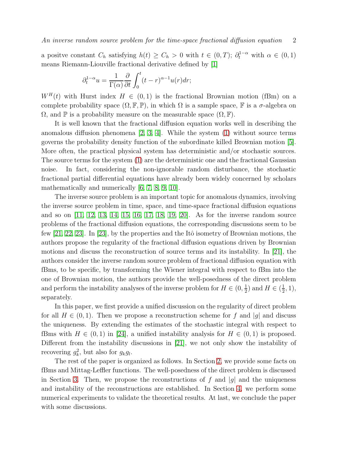a positve constant  $C_h$  satisfying  $h(t) \geq C_h > 0$  with  $t \in (0,T)$ ;  $\partial_t^{1-\alpha}$  with  $\alpha \in (0,1)$ means Riemann-Liouville fractional derivative defined by [\[1\]](#page-13-0)

$$
\partial_t^{1-\alpha} u = \frac{1}{\Gamma(\alpha)} \frac{\partial}{\partial t} \int_0^t (t-r)^{\alpha-1} u(r) dr;
$$

 $W^H(t)$  with Hurst index  $H \in (0,1)$  is the fractional Brownian motion (fBm) on a complete probability space  $(\Omega, \mathbb{F}, \mathbb{P})$ , in which  $\Omega$  is a sample space,  $\mathbb{F}$  is a  $\sigma$ -algebra on  $\Omega$ , and  $\mathbb P$  is a probability measure on the measurable space  $(\Omega, \mathbb F)$ .

It is well known that the fractional diffusion equation works well in describing the anomalous diffusion phenomena  $[2, 3, 4]$  $[2, 3, 4]$  $[2, 3, 4]$ . While the system  $(1)$  without source terms governs the probability density function of the subordinate killed Brownian motion [\[5\]](#page-14-3). More often, the practical physical system has deterministic and/or stochastic sources. The source terms for the system [\(1\)](#page-0-0) are the deterministic one and the fractional Gaussian noise. In fact, considering the non-ignorable random disturbance, the stochastic fractional partial differential equations have already been widely concerned by scholars mathematically and numerically [\[6,](#page-14-4) [7,](#page-14-5) [8,](#page-15-0) [9,](#page-15-1) [10\]](#page-15-2).

The inverse source problem is an important topic for anomalous dynamics, involving the inverse source problem in time, space, and time-space fractional diffusion equations and so on [\[11,](#page-15-3) [12,](#page-15-4) [13,](#page-15-5) [14,](#page-15-6) [15,](#page-15-7) [16,](#page-15-8) [17,](#page-15-9) [18,](#page-15-10) [19,](#page-15-11) [20\]](#page-15-12). As for the inverse random source problems of the fractional diffusion equations, the corresponding discussions seem to be few  $[21, 22, 23]$  $[21, 22, 23]$  $[21, 22, 23]$ . In  $[23]$ , by the properties and the Itô isometry of Brownian motions, the authors propose the regularity of the fractional diffusion equations driven by Brownian motions and discuss the reconstruction of source terms and its instability. In [\[21\]](#page-15-13), the authors consider the inverse random source problem of fractional diffusion equation with fBms, to be specific, by transforming the Wiener integral with respect to fBm into the one of Brownian motion, the authors provide the well-posedness of the direct problem and perform the instability analyses of the inverse problem for  $H \in (0, \frac{1}{2})$  $(\frac{1}{2})$  and  $H \in (\frac{1}{2})$  $(\frac{1}{2}, 1),$ separately.

In this paper, we first provide a unified discussion on the regularity of direct problem for all  $H \in (0,1)$ . Then we propose a reconstruction scheme for f and |g| and discuss the uniqueness. By extending the estimates of the stochastic integral with respect to fBms with  $H \in (0, 1)$  in [\[24\]](#page-15-16), a unified instability analysis for  $H \in (0, 1)$  is proposed. Different from the instability discussions in [\[21\]](#page-15-13), we not only show the instability of recovering  $g_k^2$ , but also for  $g_k g_l$ .

The rest of the paper is organized as follows. In Section [2,](#page-2-0) we provide some facts on fBms and Mittag-Leffler functions. The well-posedness of the direct problem is discussed in Section [3.](#page-5-0) Then, we propose the reconstructions of f and |g| and the uniqueness and instability of the reconstructions are established. In Section [4,](#page-7-0) we perform some numerical experiments to validate the theoretical results. At last, we conclude the paper with some discussions.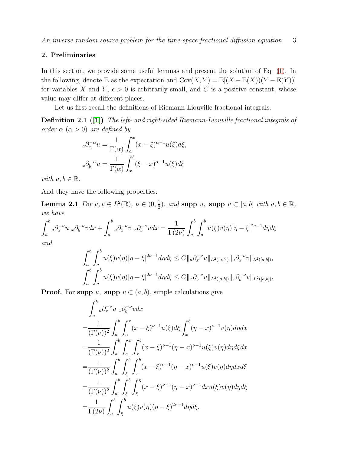# <span id="page-2-0"></span>2. Preliminaries

In this section, we provide some useful lemmas and present the solution of Eq. [\(1\)](#page-0-0). In the following, denote E as the expectation and  $Cov(X, Y) = \mathbb{E}[(X - \mathbb{E}(X))(Y - \mathbb{E}(Y))]$ for variables X and Y,  $\epsilon > 0$  is arbitrarily small, and C is a positive constant, whose value may differ at different places.

Let us first recall the definitions of Riemann-Liouville fractional integrals.

Definition 2.1 ([\[1\]](#page-13-0)) The left- and right-sided Riemann-Liouville fractional integrals of order  $\alpha$   $(\alpha > 0)$  are defined by

<span id="page-2-1"></span>
$$
{}_{a}\partial_{x}^{-\alpha}u = \frac{1}{\Gamma(\alpha)} \int_{a}^{x} (x - \xi)^{\alpha - 1} u(\xi) d\xi,
$$

$$
{}_{x}\partial_{b}^{-\alpha}u = \frac{1}{\Gamma(\alpha)} \int_{x}^{b} (\xi - x)^{\alpha - 1} u(\xi) d\xi
$$

with  $a, b \in \mathbb{R}$ .

And they have the following properties.

**Lemma 2.1** For  $u, v \in L^2(\mathbb{R})$ ,  $\nu \in (0, \frac{1}{2})$  $\frac{1}{2}$ ), and supp  $u$ , supp  $v \subset [a, b]$  with  $a, b \in \mathbb{R}$ , we have

$$
\int_{a}^{b} a \partial_x^{-\nu} u \, x \partial_b^{-\nu} v dx + \int_{a}^{b} a \partial_x^{-\nu} v \, x \partial_b^{-\nu} u dx = \frac{1}{\Gamma(2\nu)} \int_{a}^{b} \int_{a}^{b} u(\xi) v(\eta) |\eta - \xi|^{2\nu - 1} d\eta d\xi
$$

and

$$
\int_{a}^{b} \int_{a}^{b} u(\xi)v(\eta) |\eta - \xi|^{2\nu - 1} d\eta d\xi \leq C \|_{a} \partial_{x}^{-\nu} u \|_{L^{2}([a,b])} \|_{a} \partial_{x}^{-\nu} v \|_{L^{2}([a,b])},
$$
  

$$
\int_{a}^{b} \int_{a}^{b} u(\xi)v(\eta) |\eta - \xi|^{2\nu - 1} d\eta d\xi \leq C \|_{x} \partial_{b}^{-\nu} u \|_{L^{2}([a,b])} \|_{x} \partial_{b}^{-\nu} v \|_{L^{2}([a,b])}.
$$

**Proof.** For supp u, supp  $v \subset (a, b)$ , simple calculations give

$$
\int_{a}^{b} a \partial_x^{-\nu} u_x \partial_b^{-\nu} v dx
$$
\n
$$
= \frac{1}{(\Gamma(\nu))^2} \int_{a}^{b} \int_{a}^{x} (x - \xi)^{\nu - 1} u(\xi) d\xi \int_{x}^{b} (\eta - x)^{\nu - 1} v(\eta) d\eta dx
$$
\n
$$
= \frac{1}{(\Gamma(\nu))^2} \int_{a}^{b} \int_{a}^{x} \int_{x}^{b} (x - \xi)^{\nu - 1} (\eta - x)^{\nu - 1} u(\xi) v(\eta) d\eta d\xi dx
$$
\n
$$
= \frac{1}{(\Gamma(\nu))^2} \int_{a}^{b} \int_{\xi}^{b} \int_{x}^{b} (x - \xi)^{\nu - 1} (\eta - x)^{\nu - 1} u(\xi) v(\eta) d\eta dx d\xi
$$
\n
$$
= \frac{1}{(\Gamma(\nu))^2} \int_{a}^{b} \int_{\xi}^{b} \int_{\xi}^{\eta} (x - \xi)^{\nu - 1} (\eta - x)^{\nu - 1} dx u(\xi) v(\eta) d\eta d\xi
$$
\n
$$
= \frac{1}{\Gamma(2\nu)} \int_{a}^{b} \int_{\xi}^{b} u(\xi) v(\eta) (\eta - \xi)^{2\nu - 1} d\eta d\xi.
$$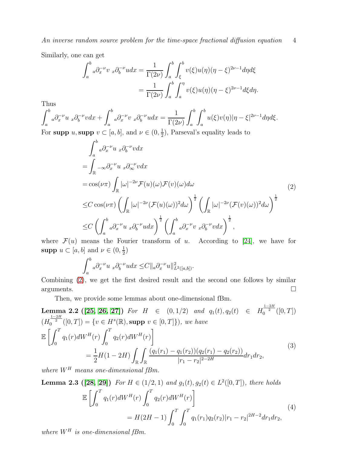Similarly, one can get

$$
\int_a^b a \partial_x^{-\nu} v_x \partial_b^{-\nu} u dx = \frac{1}{\Gamma(2\nu)} \int_a^b \int_{\xi}^b v(\xi) u(\eta) (\eta - \xi)^{2\nu - 1} d\eta d\xi
$$
  
= 
$$
\frac{1}{\Gamma(2\nu)} \int_a^b \int_a^{\eta} v(\xi) u(\eta) (\eta - \xi)^{2\nu - 1} d\xi d\eta.
$$

Thus

$$
\int_{a}^{b} a \partial_x^{-\nu} u \, x \partial_b^{-\nu} v dx + \int_{a}^{b} a \partial_x^{-\nu} v \, x \partial_b^{-\nu} u dx = \frac{1}{\Gamma(2\nu)} \int_{a}^{b} \int_{a}^{b} u(\xi) v(\eta) |\eta - \xi|^{2\nu - 1} d\eta d\xi.
$$
  
For **supp**  $u$ , **supp**  $v \subset [a, b]$ , and  $\nu \in (0, \frac{1}{2})$ , Parseval's equality leads to

<span id="page-3-0"></span>
$$
\int_{a}^{b} a \partial_{x}^{-\nu} u \, x \partial_{b}^{-\nu} v dx
$$
\n
$$
= \int_{\mathbb{R}} -\infty \partial_{x}^{-\nu} u \, x \partial_{\infty}^{-\nu} v dx
$$
\n
$$
= \cos(\nu \pi) \int_{\mathbb{R}} |\omega|^{-2\nu} \mathcal{F}(u)(\omega) \mathcal{F}(v)(\omega) d\omega
$$
\n
$$
\leq C \cos(\nu \pi) \left( \int_{\mathbb{R}} |\omega|^{-2\nu} (\mathcal{F}(u)(\omega))^{2} d\omega \right)^{\frac{1}{2}} \left( \int_{\mathbb{R}} |\omega|^{-2\nu} (\mathcal{F}(v)(\omega))^{2} d\omega \right)^{\frac{1}{2}}
$$
\n
$$
\leq C \left( \int_{a}^{b} a \partial_{x}^{-\nu} u \, x \partial_{b}^{-\nu} u dx \right)^{\frac{1}{2}} \left( \int_{a}^{b} a \partial_{x}^{-\nu} v \, x \partial_{b}^{-\nu} v dx \right)^{\frac{1}{2}},
$$
\n(2)

where  $\mathcal{F}(u)$  means the Fourier transform of u. According to [\[24\]](#page-15-16), we have for supp  $u \subset [a, b]$  and  $\nu \in (0, \frac{1}{2})$  $(\frac{1}{2})$ 

<span id="page-3-2"></span>
$$
\int_a^b a \partial_x^{-\nu} u_x \partial_b^{-\nu} u dx \leq C \|a \partial_x^{-\nu} u\|_{L^2([a,b])}^2.
$$

Combining [\(2\)](#page-3-0), we get the first desired result and the second one follows by similar  $a$ rguments.

Then, we provide some lemmas about one-dimensional fBm.

**Lemma 2.2** ([25, 26, 27]) For 
$$
H \in (0, 1/2)
$$
 and  $q_1(t), q_2(t) \in H_0^{\frac{1-2H}{2}}([0, T])$   
\n $(H_0^{\frac{1-2H}{2}}([0, T]) = \{v \in H^s(\mathbb{R}), \text{supp } v \in [0, T]\}), we have$   
\n
$$
\mathbb{E}\left[\int_0^T q_1(r)dW^H(r)\int_0^T q_2(r)dW^H(r)\right]
$$
\n
$$
= \frac{1}{2}H(1-2H)\int_{\mathbb{R}}\int_{\mathbb{R}}\frac{(q_1(r_1) - q_1(r_2))(q_2(r_1) - q_2(r_2))}{|r_1 - r_2|^{2-2H}}dr_1dr_2,
$$
\n(3)

<span id="page-3-1"></span>where  ${\cal W}^H$  means one-dimensional fBm.

**Lemma 2.3 ([28, 29])** For 
$$
H \in (1/2, 1)
$$
 and  $g_1(t), g_2(t) \in L^2([0, T])$ , there holds  
\n
$$
\mathbb{E}\left[\int_0^T q_1(r)dW^H(r)\int_0^T q_2(r)dW^H(r)\right]
$$
\n
$$
= H(2H - 1)\int_0^T \int_0^T q_1(r_1)q_2(r_2)|r_1 - r_2|^{2H-2}dr_1dr_2,
$$
\n(4)

<span id="page-3-3"></span>where  $W^H$  is one-dimensional fBm.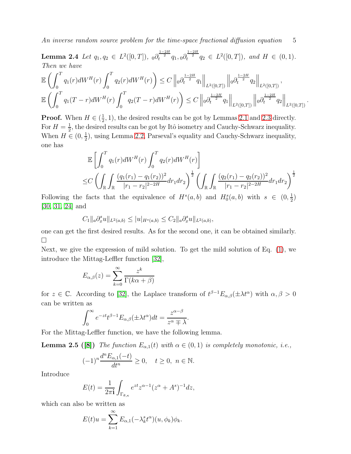**Lemma 2.4** Let  $q_1, q_2 \in L^2([0, T])$ ,  $0 \frac{\partial_t^{\frac{1-2H}{2}}}{q_1, 0} \frac{\partial_t^{\frac{1-2H}{2}}}{q_2} \in L^2([0, T])$ , and  $H \in (0, 1)$ . Then we have

$$
\mathbb{E}\left(\int_0^T q_1(r)dW^H(r)\int_0^T q_2(r)dW^H(r)\right)\leq C\left\|\left|_0\partial_t^{\frac{1-2H}{2}}q_1\right\|_{L^2([0,T])}\left\|\left|_0\partial_t^{\frac{1-2H}{2}}q_2\right\|_{L^2([0,T])},\right\|_{L^2([0,T])},\right\|_{L^2([0,T])},\right\|_{L^2([0,T])}\left\|\left|_0\partial_t^{\frac{1-2H}{2}}q_2\right\|_{L^2([0,T])}\right\|_{L^2([0,T])}.
$$

**Proof.** When  $H \in (\frac{1}{2})$  $\frac{1}{2}$ , 1), the desired results can be got by Lemmas [2.1](#page-2-1) and [2.3](#page-3-1) directly. For  $H=\frac{1}{2}$  $\frac{1}{2}$ , the desired results can be got by Itô isometry and Cauchy-Schwarz inequality. When  $H \in (0, \frac{1}{2})$  $\frac{1}{2}$ , using Lemma [2.2,](#page-3-2) Parseval's equality and Cauchy-Schwarz inequality, one has

$$
\mathbb{E}\left[\int_0^T q_1(r)dW^H(r)\int_0^T q_2(r)dW^H(r)\right]
$$
  
\n
$$
\leq C\left(\int_{\mathbb{R}}\int_{\mathbb{R}}\frac{(q_1(r_1)-q_1(r_2))^2}{|r_1-r_2|^{2-2H}}dr_1dr_2\right)^{\frac{1}{2}}\left(\int_{\mathbb{R}}\int_{\mathbb{R}}\frac{(q_2(r_1)-q_2(r_2))^2}{|r_1-r_2|^{2-2H}}dr_1dr_2\right)^{\frac{1}{2}}
$$

Following the facts that the equivalence of  $H^s(a, b)$  and  $H_0^s(a, b)$  with  $s \in (0, \frac{1}{2})$  $(\frac{1}{2})$ [\[30,](#page-15-22) [31,](#page-15-23) [24\]](#page-15-16) and

$$
C_1 \|_{a} \partial_x^s u \|_{L^2(a,b)} \leq |u|_{H^s(a,b)} \leq C_2 \|_{a} \partial_x^s u \|_{L^2(a,b)},
$$

one can get the first desired results. As for the second one, it can be obtained similarly.  $\Box$ 

Next, we give the expression of mild solution. To get the mild solution of Eq. [\(1\)](#page-0-0), we introduce the Mittag-Leffler function [\[32\]](#page-16-0),

$$
E_{\alpha,\beta}(z) = \sum_{k=0}^{\infty} \frac{z^k}{\Gamma(k\alpha + \beta)}
$$

for  $z \in \mathbb{C}$ . According to [\[32\]](#page-16-0), the Laplace transform of  $t^{\beta-1}E_{\alpha,\beta}(\pm \lambda t^{\alpha})$  with  $\alpha, \beta > 0$ can be written as

$$
\int_0^\infty e^{-zt} t^{\beta-1} E_{\alpha,\beta}(\pm \lambda t^\alpha) dt = \frac{z^{\alpha-\beta}}{z^\alpha \mp \lambda}.
$$

For the Mittag-Leffler function, we have the following lemma.

**Lemma 2.5** ([\[8\]](#page-15-0)) The function  $E_{\alpha,1}(t)$  with  $\alpha \in (0,1)$  is completely monotonic, i.e.,

<span id="page-4-0"></span>
$$
(-1)^n \frac{d^n E_{\alpha,1}(-t)}{dt^n} \ge 0, \quad t \ge 0, \ n \in \mathbb{N}.
$$

Introduce

$$
E(t) = \frac{1}{2\pi i} \int_{\Gamma_{\theta,\kappa}} e^{zt} z^{\alpha-1} (z^{\alpha} + A^s)^{-1} dz,
$$

which can also be written as

$$
E(t)u = \sum_{k=1}^{\infty} E_{\alpha,1}(-\lambda_k^s t^{\alpha})(u, \phi_k)\phi_k.
$$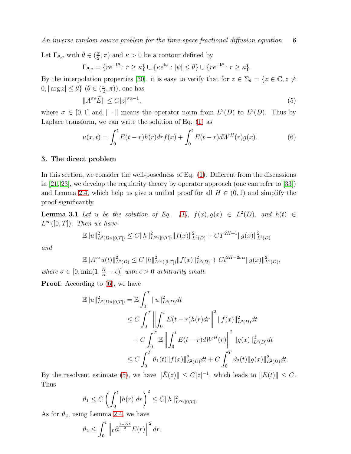Let  $\Gamma_{\theta,\kappa}$  with  $\theta \in (\frac{\pi}{2})$  $(\frac{\pi}{2}, \pi)$  and  $\kappa > 0$  be a contour defined by

$$
\Gamma_{\theta,\kappa} = \{ re^{-i\theta} : r \ge \kappa \} \cup \{ \kappa e^{i\psi} : |\psi| \le \theta \} \cup \{ re^{-i\theta} : r \ge \kappa \}.
$$

By the interpolation properties [\[30\]](#page-15-22), it is easy to verify that for  $z \in \Sigma_{\theta} = \{z \in \mathbb{C}, z \neq 0\}$  $0, |\arg z| \leq \theta$   $\}$   $(\theta \in (\frac{\pi}{2})$  $(\frac{\pi}{2}, \pi)$ ), one has

<span id="page-5-2"></span>
$$
||A^{\sigma s}\tilde{E}|| \le C|z|^{\sigma\alpha - 1},\tag{5}
$$

where  $\sigma \in [0,1]$  and  $\|\cdot\|$  means the operator norm from  $L^2(D)$  to  $L^2(D)$ . Thus by Laplace transform, we can write the solution of Eq. [\(1\)](#page-0-0) as

<span id="page-5-1"></span>
$$
u(x,t) = \int_0^t E(t-r)h(r)dr f(x) + \int_0^t E(t-r)dW^H(r)g(x).
$$
 (6)

#### <span id="page-5-0"></span>3. The direct problem

In this section, we consider the well-posedness of Eq. [\(1\)](#page-0-0). Different from the discussions in [\[21,](#page-15-13) [23\]](#page-15-15), we develop the regularity theory by operator approach (one can refer to [\[33\]](#page-16-1)) and Lemma [2.4,](#page-3-3) which help us give a unified proof for all  $H \in (0, 1)$  and simplify the proof significantly.

**Lemma 3.1** Let u be the solution of Eq. [\(1\)](#page-0-0),  $f(x), g(x) \in L^2(D)$ , and  $h(t) \in$  $L^{\infty}([0,T])$ . Then we have

$$
\mathbb{E} \|u\|_{L^{2}(D\times[0,T])}^{2} \leq C \|h\|_{L^{\infty}([0,T])}^{2} \|f(x)\|_{L^{2}(D)}^{2} + C T^{2H+1} \|g(x)\|_{L^{2}(D)}^{2}
$$

and

$$
\mathbb{E}||A^{\sigma s}u(t)||_{L^{2}(D)}^{2} \leq C||h||_{L^{\infty}([0,T])}^{2}||f(x)||_{L^{2}(D)}^{2} + Ct^{2H-2\sigma\alpha}||g(x)||_{L^{2}(D)}^{2},
$$
  
where  $\sigma \in [0, \min(1, \frac{H}{\alpha} - \epsilon)]$  with  $\epsilon > 0$  arbitrarily small.

**Proof.** According to  $(6)$ , we have

$$
\mathbb{E}||u||_{L^{2}(D\times[0,T])}^{2} = \mathbb{E}\int_{0}^{T}||u||_{L^{2}(D)}^{2}dt
$$
  
\n
$$
\leq C\int_{0}^{T}\left\|\int_{0}^{t}E(t-r)h(r)dr\right\|^{2}||f(x)||_{L^{2}(D)}^{2}dt
$$
  
\n
$$
+C\int_{0}^{T}\mathbb{E}\left\|\int_{0}^{t}E(t-r)dW^{H}(r)\right\|^{2}||g(x)||_{L^{2}(D)}^{2}dt
$$
  
\n
$$
\leq C\int_{0}^{T}\vartheta_{1}(t)||f(x)||_{L^{2}(D)}^{2}dt + C\int_{0}^{T}\vartheta_{2}(t)||g(x)||_{L^{2}(D)}^{2}dt.
$$

By the resolvent estimate [\(5\)](#page-5-2), we have  $\|\tilde{E}(z)\| \leq C|z|^{-1}$ , which leads to  $||E(t)|| \leq C$ . Thus

$$
\vartheta_1 \le C \left( \int_0^t |h(r)| dr \right)^2 \le C ||h||^2_{L^{\infty}([0,T])}.
$$

As for  $\vartheta_2$ , using Lemma [2.4,](#page-3-3) we have

$$
\vartheta_2 \le \int_0^t \left\| \rho \partial_r^{\frac{1-2H}{2}} E(r) \right\|^2 dr.
$$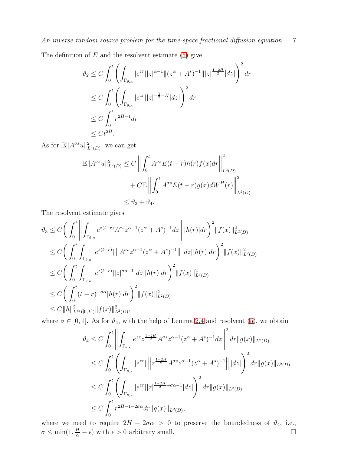The definition of  $E$  and the resolvent estimate [\(5\)](#page-5-2) give

$$
\vartheta_2 \le C \int_0^t \left( \int_{\Gamma_{\theta,\kappa}} |e^{zr}||z|^{\alpha-1} ||(z^{\alpha} + A^s)^{-1}|||z|^{\frac{1-2H}{2}} |dz| \right)^2 dr
$$
  
\n
$$
\le C \int_0^t \left( \int_{\Gamma_{\theta,\kappa}} |e^{zr}||z|^{-\frac{1}{2}-H} |dz| \right)^2 dr
$$
  
\n
$$
\le C \int_0^t r^{2H-1} dr
$$
  
\n
$$
\le Ct^{2H}.
$$

As for  $\mathbb{E} \|A^{\sigma s}u\|_{L^2(D)}^2$ , we can get

$$
\mathbb{E}||A^{\sigma s}u||_{L^{2}(D)}^{2} \leq C \left\| \int_{0}^{t} A^{\sigma s} E(t-r)h(r)f(x)dr \right\|_{L^{2}(D)}^{2}
$$
  
+ 
$$
C \mathbb{E} \left\| \int_{0}^{t} A^{\sigma s} E(t-r)g(x)dW^{H}(r) \right\|_{L^{2}(D)}^{2}
$$
  

$$
\leq \vartheta_{3} + \vartheta_{4}.
$$

The resolvent estimate gives

$$
\vartheta_3 \le C \bigg( \int_0^t \left\| \int_{\Gamma_{\theta,\kappa}} e^{z(t-r)} A^{\sigma s} z^{\alpha-1} (z^{\alpha} + A^s)^{-1} dz \right\| |h(r)| dr \bigg)^2 \|f(x)\|_{L^2(D)}^2
$$
  
\n
$$
\le C \bigg( \int_0^t \int_{\Gamma_{\theta,\kappa}} |e^{z(t-r)}| \left\| A^{\sigma s} z^{\alpha-1} (z^{\alpha} + A^s)^{-1} \right\| |dz| |h(r)| dr \bigg)^2 \|f(x)\|_{L^2(D)}^2
$$
  
\n
$$
\le C \bigg( \int_0^t \int_{\Gamma_{\theta,\kappa}} |e^{z(t-r)}| |z|^{\sigma \alpha-1} |dz| |h(r)| dr \bigg)^2 \|f(x)\|_{L^2(D)}^2
$$
  
\n
$$
\le C \bigg( \int_0^t (t-r)^{-\sigma \alpha} |h(r)| dr \bigg)^2 \|f(x)\|_{L^2(D)}^2
$$
  
\n
$$
\le C \|h\|_{L^{\infty}([0,T])}^2 \|f(x)\|_{L^2(D)}^2,
$$

where  $\sigma \in [0, 1]$ . As for  $\vartheta_4$ , with the help of Lemma [2.4](#page-3-3) and resolvent [\(5\)](#page-5-2), we obtain

$$
\vartheta_4 \le C \int_0^t \left\| \int_{\Gamma_{\theta,\kappa}} e^{zr} z^{\frac{1-2H}{2}} A^{\sigma s} z^{\alpha-1} (z^{\alpha} + A^s)^{-1} dz \right\|^2 dr \|g(x)\|_{L^2(D)}
$$
  
\n
$$
\le C \int_0^t \left( \int_{\Gamma_{\theta,\kappa}} |e^{zr}| \left\| z^{\frac{1-2H}{2}} A^{\sigma s} z^{\alpha-1} (z^{\alpha} + A^s)^{-1} \right\| |dz| \right)^2 dr \|g(x)\|_{L^2(D)}
$$
  
\n
$$
\le C \int_0^t \left( \int_{\Gamma_{\theta,\kappa}} |e^{zr}| |z|^{\frac{1-2H}{2} + \sigma \alpha - 1} |dz| \right)^2 dr \|g(x)\|_{L^2(D)}
$$
  
\n
$$
\le C \int_0^t r^{2H-1-2\sigma \alpha} dr \|g(x)\|_{L^2(D)},
$$

where we need to require  $2H - 2\sigma\alpha > 0$  to preserve the boundedness of  $\vartheta_4$ , i.e.,  $\sigma \le \min(1, \frac{H}{\sigma} - \epsilon)$  with  $\epsilon > 0$  arbitrary small.  $\sigma \le \min(1, \frac{H}{\alpha} - \epsilon)$  with  $\epsilon > 0$  arbitrary small.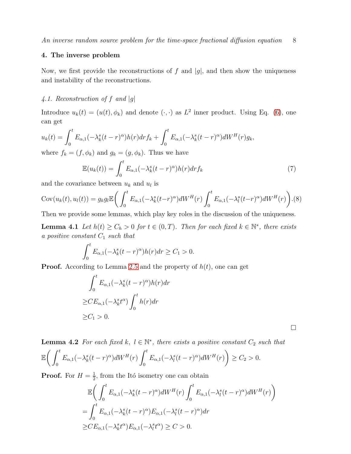### <span id="page-7-0"></span>4. The inverse problem

Now, we first provide the reconstructions of f and  $|g|$ , and then show the uniqueness and instability of the reconstructions.

# 4.1. Reconstruction of f and  $|g|$

Introduce  $u_k(t) = (u(t), \phi_k)$  and denote  $(\cdot, \cdot)$  as  $L^2$  inner product. Using Eq. [\(6\)](#page-5-1), one can get

$$
u_k(t) = \int_0^t E_{\alpha,1}(-\lambda_k^s(t-r)^\alpha)h(r)drf_k + \int_0^t E_{\alpha,1}(-\lambda_k^s(t-r)^\alpha)dW^H(r)g_k,
$$

where  $f_k = (f, \phi_k)$  and  $g_k = (g, \phi_k)$ . Thus we have

<span id="page-7-2"></span><span id="page-7-1"></span>
$$
\mathbb{E}(u_k(t)) = \int_0^t E_{\alpha,1}(-\lambda_k^s(t-r)^\alpha)h(r)drf_k
$$
\n(7)

and the covariance between  $u_k$  and  $u_l$  is

$$
Cov(u_k(t), u_l(t)) = g_k g_l \mathbb{E}\bigg(\int_0^t E_{\alpha,1}(-\lambda_k^s(t-r)^\alpha)dW^H(r)\int_0^t E_{\alpha,1}(-\lambda_l^s(t-r)^\alpha)dW^H(r)\bigg). (8)
$$

Then we provide some lemmas, which play key roles in the discussion of the uniqueness.

**Lemma 4.1** Let  $h(t) \ge C_h > 0$  for  $t \in (0, T)$ . Then for each fixed  $k \in \mathbb{N}^*$ , there exists a positive constant  $C_1$  such that

$$
\int_0^t E_{\alpha,1}(-\lambda_k^s(t-r)^\alpha)h(r)dr \ge C_1 > 0.
$$

**Proof.** According to Lemma [2.5](#page-4-0) and the property of  $h(t)$ , one can get

$$
\int_0^t E_{\alpha,1}(-\lambda_k^s(t-r)^\alpha)h(r)dr
$$
  
\n
$$
\geq CE_{\alpha,1}(-\lambda_k^s t^\alpha)\int_0^t h(r)dr
$$
  
\n
$$
\geq C_1 > 0.
$$

<span id="page-7-4"></span>**Lemma 4.2** For each fixed k,  $l \in \mathbb{N}^*$ , there exists a positive constant  $C_2$  such that  $\mathbb{E} \Big( \int^t$  $\int_0^t E_{\alpha,1}(-\lambda_k^s(t-r)^\alpha)dW^H(r)\int_0^t$  $\int_0^t E_{\alpha,1}(-\lambda_l^s(t-r)^\alpha)dW^H(r)\bigg).$  $\geq C_2 > 0.$ 

**Proof.** For  $H = \frac{1}{2}$  $\frac{1}{2}$ , from the Itó isometry one can obtain

$$
\mathbb{E}\bigg(\int_0^t E_{\alpha,1}(-\lambda_k^s(t-r)^\alpha)dW^H(r)\int_0^t E_{\alpha,1}(-\lambda_l^s(t-r)^\alpha)dW^H(r)\bigg)
$$
  
= 
$$
\int_0^t E_{\alpha,1}(-\lambda_k^s(t-r)^\alpha)E_{\alpha,1}(-\lambda_l^s(t-r)^\alpha)dr
$$
  

$$
\geq CE_{\alpha,1}(-\lambda_k^s t^\alpha)E_{\alpha,1}(-\lambda_l^s t^\alpha) \geq C > 0.
$$

<span id="page-7-3"></span> $\Box$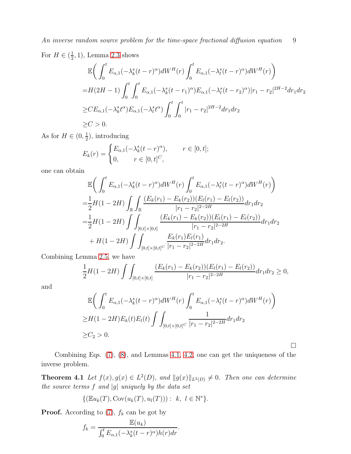For  $H \in (\frac{1}{2})$  $(\frac{1}{2}, 1)$ , Lemma [2.3](#page-3-1) shows

$$
\mathbb{E}\left(\int_{0}^{t} E_{\alpha,1}(-\lambda_{k}^{s}(t-r)^{\alpha})dW^{H}(r)\int_{0}^{t} E_{\alpha,1}(-\lambda_{l}^{s}(t-r)^{\alpha})dW^{H}(r)\right)
$$
\n
$$
=H(2H-1)\int_{0}^{t}\int_{0}^{t} E_{\alpha,1}(-\lambda_{k}^{s}(t-r_{1})^{\alpha})E_{\alpha,1}(-\lambda_{l}^{s}(t-r_{2})^{\alpha})|r_{1}-r_{2}|^{2H-2}dr_{1}dr_{2}
$$
\n
$$
\geq CE_{\alpha,1}(-\lambda_{k}^{s}t^{\alpha})E_{\alpha,1}(-\lambda_{l}^{s}t^{\alpha})\int_{0}^{t}\int_{0}^{t}|r_{1}-r_{2}|^{2H-2}dr_{1}dr_{2}
$$
\n
$$
\geq C>0.
$$

As for  $H \in (0, \frac{1}{2})$  $(\frac{1}{2})$ , introducing

$$
E_k(r) = \begin{cases} E_{\alpha,1}(-\lambda_k^s(t-r)^\alpha), & r \in [0,t]; \\ 0, & r \in [0,t]^C, \end{cases}
$$

one can obtain

$$
\mathbb{E}\bigg(\int_0^t E_{\alpha,1}(-\lambda_k^s(t-r)^\alpha)dW^H(r)\int_0^t E_{\alpha,1}(-\lambda_l^s(t-r)^\alpha)dW^H(r)\bigg) \n= \frac{1}{2}H(1-2H)\int_{\mathbb{R}}\int_{\mathbb{R}}\frac{(E_k(r_1)-E_k(r_2))(E_l(r_1)-E_l(r_2))}{|r_1-r_2|^{2-2H}}dr_1dr_2 \n= \frac{1}{2}H(1-2H)\int_{[0,t]\times[0,t]} \frac{(E_k(r_1)-E_k(r_2))(E_l(r_1)-E_l(r_2))}{|r_1-r_2|^{2-2H}}dr_1dr_2 \n+ H(1-2H)\int_{[0,t]\times[0,t]^C}\frac{E_k(r_1)E_l(r_1)}{|r_1-r_2|^{2-2H}}dr_1dr_2.
$$

Combining Lemma [2.5,](#page-4-0) we have

$$
\frac{1}{2}H(1-2H)\int\int_{[0,t]\times[0,t]} \frac{(E_k(r_1)-E_k(r_2))(E_l(r_1)-E_l(r_2))}{|r_1-r_2|^{2-2H}}dr_1dr_2\geq 0,
$$

and

$$
\mathbb{E}\bigg(\int_0^t E_{\alpha,1}(-\lambda_k^s(t-r)^\alpha)dW^H(r)\int_0^t E_{\alpha,1}(-\lambda_l^s(t-r)^\alpha)dW^H(r)\bigg) \geq H(1-2H)E_k(t)E_l(t)\int\int_{[0,t]\times[0,t]^C}\frac{1}{|r_1-r_2|^{2-2H}}dr_1dr_2 \geq C_2 > 0.
$$

 $\Box$ 

Combining Eqs. [\(7\)](#page-7-1), [\(8\)](#page-7-2), and Lemmas [4.1,](#page-7-3) [4.2,](#page-7-4) one can get the uniqueness of the inverse problem.

**Theorem 4.1** Let  $f(x), g(x) \in L^2(D)$ , and  $||g(x)||_{L^2(D)} \neq 0$ . Then one can determine the source terms  $f$  and  $|g|$  uniquely by the data set

$$
\{(\mathbb{E}u_k(T), \mathrm{Cov}(u_k(T), u_l(T))) : k, l \in \mathbb{N}^*\}.
$$

**Proof.** According to  $(7)$ ,  $f_k$  can be got by

$$
f_k = \frac{\mathbb{E}(u_k)}{\int_0^t E_{\alpha,1}(-\lambda_k^s(t-r)^\alpha)h(r)dr}.
$$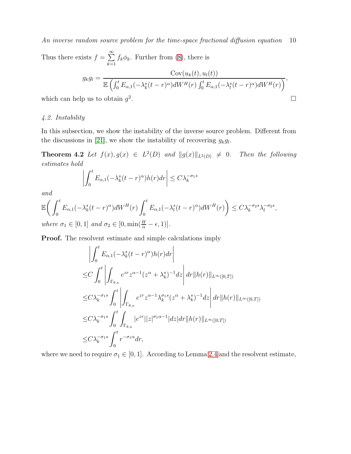Thus there exists  $f = \sum_{n=1}^{\infty}$  $k=1$  $f_k \phi_k$ . Further from [\(8\)](#page-7-2), there is

$$
g_k g_l = \frac{\text{Cov}(u_k(t), u_l(t))}{\mathbb{E}\left(\int_0^t E_{\alpha,1}(-\lambda_k^s(t-r)^\alpha)dW^H(r)\int_0^t E_{\alpha,1}(-\lambda_l^s(t-r)^\alpha)dW^H(r)\right)},
$$
 p us to obtain  $g^2$ .

which can help us to obtain  $g^2$ 

## 4.2. Instability

In this subsection, we show the instability of the inverse source problem. Different from the discussions in [\[21\]](#page-15-13), we show the instability of recovering  $g_k g_l$ .

**Theorem 4.2** Let  $f(x), g(x) \in L^2(D)$  and  $||g(x)||_{L^2(D)} \neq 0$ . Then the following estimates hold

$$
\left| \int_0^t E_{\alpha,1}(-\lambda_k^s(t-r)^\alpha)h(r)dr \right| \leq C\lambda_k^{-\sigma_1 s}
$$

and

$$
\mathbb{E}\bigg(\int_0^t E_{\alpha,1}(-\lambda_k^s(t-r)^\alpha)dW^H(r)\int_0^t E_{\alpha,1}(-\lambda_l^s(t-r)^\alpha)dW^H(r)\bigg) \leq C\lambda_k^{-\sigma_2s}\lambda_l^{-\sigma_2s},
$$
  
where  $\sigma_k \in [0, 1]$  and  $\sigma_2 \in [0, \min(\frac{H}{\sigma_k} - \epsilon, 1)]$ 

where  $\sigma_1 \in [0, 1]$  and  $\sigma_2 \in [0, \min(\frac{H}{\alpha} - \epsilon, 1)].$ 

Proof. The resolvent estimate and simple calculations imply

$$
\left| \int_0^t E_{\alpha,1}(-\lambda_k^s (t-r)^\alpha) h(r) dr \right|
$$
  
\n
$$
\leq C \int_0^t \left| \int_{\Gamma_{\theta,\kappa}} e^{zr} z^{\alpha-1} (z^\alpha + \lambda_k^s)^{-1} dz \right| dr \|h(r)\|_{L^\infty([0,T])}
$$
  
\n
$$
\leq C \lambda_k^{-\sigma_1 s} \int_0^t \left| \int_{\Gamma_{\theta,\kappa}} e^{zr} z^{\alpha-1} \lambda_k^{\sigma_1 s} (z^\alpha + \lambda_k^s)^{-1} dz \right| dr \|h(r)\|_{L^\infty([0,T])}
$$
  
\n
$$
\leq C \lambda_k^{-\sigma_1 s} \int_0^t \int_{\Gamma_{\theta,\kappa}} |e^{zr}| |z|^{\sigma_1 \alpha-1} |dz| dr \|h(r)\|_{L^\infty([0,T])}
$$
  
\n
$$
\leq C \lambda_k^{-\sigma_1 s} \int_0^t r^{-\sigma_1 \alpha} dr,
$$

where we need to require  $\sigma_1 \in [0, 1]$ . According to Lemma [2.4](#page-3-3) and the resolvent estimate,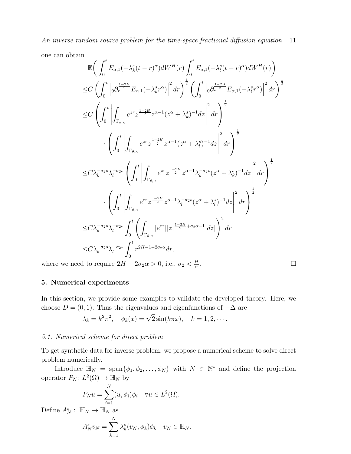one can obtain

$$
\mathbb{E}\left(\int_{0}^{t}E_{\alpha,1}(-\lambda_{k}^{s}(t-r)^{\alpha})dW^{H}(r)\int_{0}^{t}E_{\alpha,1}(-\lambda_{l}^{s}(t-r)^{\alpha})dW^{H}(r)\right) \n\leq C\left(\int_{0}^{t}\left|\partial_{r}\frac{1-2H}{2}E_{\alpha,1}(-\lambda_{k}^{s}r^{\alpha})\right|^{2}dr\right)^{\frac{1}{2}}\left(\int_{0}^{t}\left|\partial_{r}\frac{1-2H}{2}E_{\alpha,1}(-\lambda_{l}^{s}r^{\alpha})\right|^{2}dr\right)^{\frac{1}{2}} \n\leq C\left(\int_{0}^{t}\left|\int_{\Gamma_{\theta,\kappa}}e^{zr}z^{\frac{1-2H}{2}z^{\alpha-1}(z^{\alpha}+\lambda_{k}^{s})^{-1}dz}\right|^{2}dr\right)^{\frac{1}{2}} \n\cdot\left(\int_{0}^{t}\left|\int_{\Gamma_{\theta,\kappa}}e^{zr}z^{\frac{1-2H}{2}z^{\alpha-1}(z^{\alpha}+\lambda_{l}^{s})^{-1}dz}\right|^{2}dr\right)^{\frac{1}{2}} \n\leq C\lambda_{k}^{-\sigma_{2}s}\lambda_{l}^{-\sigma_{2}s}\left(\int_{0}^{t}\left|\int_{\Gamma_{\theta,\kappa}}e^{zr}z^{\frac{1-2H}{2}z^{\alpha-1}\lambda_{k}^{-\sigma_{2}s}(z^{\alpha}+\lambda_{k}^{s})^{-1}dz}\right|^{2}dr\right)^{\frac{1}{2}} \n\cdot\left(\int_{0}^{t}\left|\int_{\Gamma_{\theta,\kappa}}e^{zr}z^{\frac{1-2H}{2}z^{\alpha-1}\lambda_{l}^{-\sigma_{2}s}(z^{\alpha}+\lambda_{l}^{s})^{-1}dz}\right|^{2}dr\right)^{\frac{1}{2}} \n\leq C\lambda_{k}^{-\sigma_{2}s}\lambda_{l}^{-\sigma_{2s}}\int_{0}^{t}\left(\int_{\Gamma_{\theta,\kappa}}|e^{zr}||z|^{\frac{1-2H}{2}+\sigma_{2\alpha-1}}|dz|\right)^{2}dr \n\leq C\lambda_{k}^{-\sigma_{2}s}\lambda_{l}^{-\sigma_{2s}}\int_{0}^{t}r^{2H-1-2\sigma_{2\alpha}}dr, \
$$

where we need to require  $2H - 2\sigma_2 \alpha > 0$ , i.e.,  $\sigma_2 < \frac{H}{\alpha}$ α

# 5. Numerical experiments

In this section, we provide some examples to validate the developed theory. Here, we choose  $D = (0, 1)$ . Thus the eigenvalues and eigenfunctions of  $-\Delta$  are

$$
\lambda_k = k^2 \pi^2, \quad \phi_k(x) = \sqrt{2} \sin(k \pi x), \quad k = 1, 2, \cdots.
$$

# 5.1. Numerical scheme for direct problem

To get synthetic data for inverse problem, we propose a numerical scheme to solve direct problem numerically.

Introduce  $\mathbb{H}_N = \text{span}\{\phi_1, \phi_2, \dots, \phi_N\}$  with  $N \in \mathbb{N}^*$  and define the projection operator  $P_N: L^2(\Omega) \to \mathbb{H}_N$  by

$$
P_N u = \sum_{i=1}^N (u, \phi_i) \phi_i \quad \forall u \in L^2(\Omega).
$$

Define  $A_N^s$ :  $\mathbb{H}_N \to \mathbb{H}_N$  as

$$
A_N^s v_N = \sum_{k=1}^N \lambda_k^s (v_N, \phi_k) \phi_k \quad v_N \in \mathbb{H}_N.
$$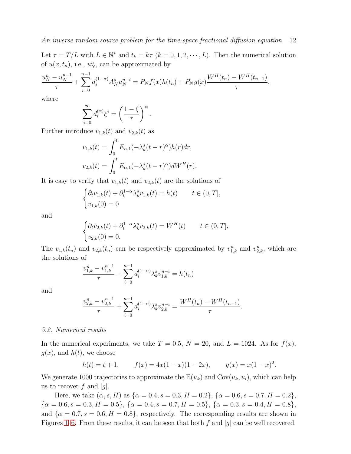Let  $\tau = T/L$  with  $L \in \mathbb{N}^*$  and  $t_k = k\tau$   $(k = 0, 1, 2, \dots, L)$ . Then the numerical solution of  $u(x, t_n)$ , i.e.,  $u_N^n$ , can be approximated by

,

.

$$
\frac{u_N^n - u_N^{n-1}}{\tau} + \sum_{i=0}^{n-1} d_i^{(1-\alpha)} A_N^s u_N^{n-i} = P_N f(x) h(t_n) + P_N g(x) \frac{W^H(t_n) - W^H(t_{n-1})}{\tau}
$$

where

$$
\sum_{i=0}^{\infty} d_i^{(\alpha)} \xi^i = \left(\frac{1-\xi}{\tau}\right)^{\alpha}.
$$

Further introduce  $v_{1,k}(t)$  and  $v_{2,k}(t)$  as

$$
v_{1,k}(t) = \int_0^t E_{\alpha,1}(-\lambda_k^s(t-r)^\alpha)h(r)dr,
$$
  

$$
v_{2,k}(t) = \int_0^t E_{\alpha,1}(-\lambda_k^s(t-r)^\alpha)dW^H(r).
$$

It is easy to verify that  $v_{1,k}(t)$  and  $v_{2,k}(t)$  are the solutions of

$$
\begin{cases} \partial_t v_{1,k}(t) + \partial_t^{1-\alpha} \lambda_k^s v_{1,k}(t) = h(t) & t \in (0,T], \\ v_{1,k}(0) = 0 & \end{cases}
$$

and

$$
\begin{cases} \partial_t v_{2,k}(t) + \partial_t^{1-\alpha} \lambda_k^s v_{2,k}(t) = \dot{W}^H(t) & t \in (0,T], \\ v_{2,k}(0) = 0. \end{cases}
$$

The  $v_{1,k}(t_n)$  and  $v_{2,k}(t_n)$  can be respectively approximated by  $v_{1,k}^n$  and  $v_{2,k}^n$ , which are the solutions of

$$
\frac{v_{1,k}^n - v_{1,k}^{n-1}}{\tau} + \sum_{i=0}^{n-1} d_i^{(1-\alpha)} \lambda_k^s v_{1,k}^{n-i} = h(t_n)
$$

and

$$
\frac{v_{2,k}^{n} - v_{2,k}^{n-1}}{\tau} + \sum_{i=0}^{n-1} d_i^{(1-\alpha)} \lambda_k^{s} v_{2,k}^{n-i} = \frac{W^H(t_n) - W^H(t_{n-1})}{\tau}
$$

#### 5.2. Numerical results

In the numerical experiments, we take  $T = 0.5$ ,  $N = 20$ , and  $L = 1024$ . As for  $f(x)$ ,  $g(x)$ , and  $h(t)$ , we choose

$$
h(t) = t + 1,
$$
  $f(x) = 4x(1 - x)(1 - 2x),$   $g(x) = x(1 - x)^2.$ 

We generate 1000 trajectories to approximate the  $\mathbb{E}(u_k)$  and  $Cov(u_k, u_l)$ , which can help us to recover f and  $|g|$ .

Here, we take  $(\alpha, s, H)$  as  $\{\alpha = 0.4, s = 0.3, H = 0.2\}, \{\alpha = 0.6, s = 0.7, H = 0.2\},\$  ${\alpha = 0.6, s = 0.3, H = 0.5}, {\alpha = 0.4, s = 0.7, H = 0.5}, {\alpha = 0.3, s = 0.4, H = 0.8},$ and  $\{\alpha = 0.7, s = 0.6, H = 0.8\}$ , respectively. The corresponding results are shown in Figures [1–](#page-12-0)[6.](#page-14-6) From these results, it can be seen that both f and |g| can be well recovered.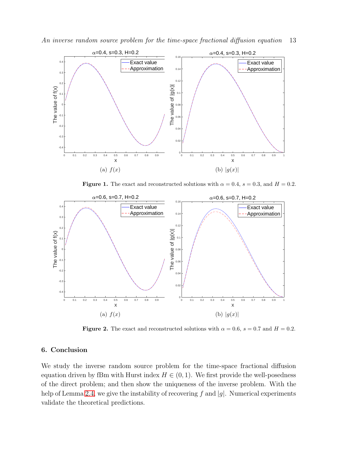An inverse random source problem for the time-space fractional diffusion equation 13



<span id="page-12-0"></span>Figure 1. The exact and reconstructed solutions with  $\alpha = 0.4$ ,  $s = 0.3$ , and  $H = 0.2$ .



**Figure 2.** The exact and reconstructed solutions with  $\alpha = 0.6$ ,  $s = 0.7$  and  $H = 0.2$ .

## 6. Conclusion

We study the inverse random source problem for the time-space fractional diffusion equation driven by fBm with Hurst index  $H \in (0,1)$ . We first provide the well-posedness of the direct problem; and then show the uniqueness of the inverse problem. With the help of Lemma [2.4,](#page-3-3) we give the instability of recovering f and  $|g|$ . Numerical experiments validate the theoretical predictions.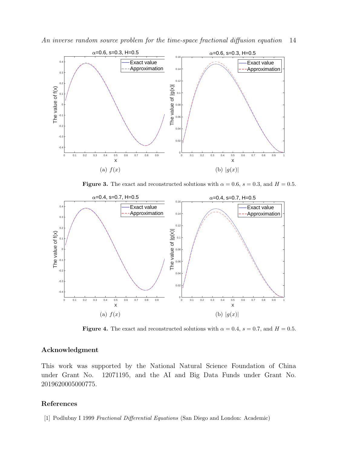



Figure 3. The exact and reconstructed solutions with  $\alpha = 0.6$ ,  $s = 0.3$ , and  $H = 0.5$ .



Figure 4. The exact and reconstructed solutions with  $\alpha = 0.4$ ,  $s = 0.7$ , and  $H = 0.5$ .

# Acknowledgment

This work was supported by the National Natural Science Foundation of China under Grant No. 12071195, and the AI and Big Data Funds under Grant No. 2019620005000775.

#### <span id="page-13-0"></span>References

[1] Podlubny I 1999 Fractional Differential Equations (San Diego and London: Academic)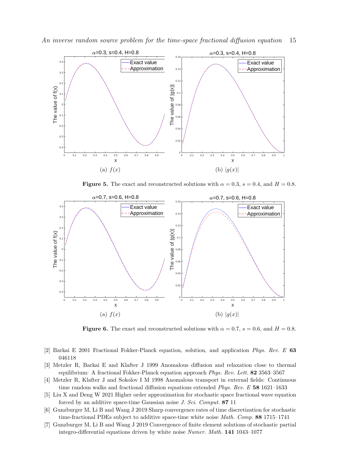An inverse random source problem for the time-space fractional diffusion equation 15



Figure 5. The exact and reconstructed solutions with  $\alpha = 0.3$ ,  $s = 0.4$ , and  $H = 0.8$ .



<span id="page-14-6"></span>Figure 6. The exact and reconstructed solutions with  $\alpha = 0.7$ ,  $s = 0.6$ , and  $H = 0.8$ .

- <span id="page-14-1"></span><span id="page-14-0"></span>[2] Barkai E 2001 Fractional Fokker-Planck equation, solution, and application Phys. Rev. E 63 046118
- [3] Metzler R, Barkai E and Klafter J 1999 Anomalous diffusion and relaxation close to thermal equilibrium: A fractional Fokker-Planck equation approach Phys. Rev. Lett. 82 3563–3567
- <span id="page-14-3"></span><span id="page-14-2"></span>[4] Metzler R, Klafter J and Sokolov I M 1998 Anomalous transport in external fields: Continuous time random walks and fractional diffusion equations extended Phys. Rev. E 58 1621–1633
- [5] Liu X and Deng W 2021 Higher order approximation for stochastic space fractional wave equation forced by an additive space-time Gaussian noise J. Sci. Comput. 87 11
- <span id="page-14-4"></span>[6] Gunzburger M, Li B and Wang J 2019 Sharp convergence rates of time discretization for stochastic time-fractional PDEs subject to additive space-time white noise *Math. Comp.* 88 1715–1741
- <span id="page-14-5"></span>[7] Gunzburger M, Li B and Wang J 2019 Convergence of finite element solutions of stochastic partial integro-differential equations driven by white noise Numer. Math. 141 1043–1077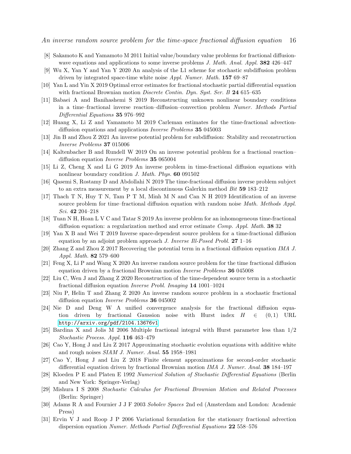- <span id="page-15-1"></span><span id="page-15-0"></span>[8] Sakamoto K and Yamamoto M 2011 Initial value/boundary value problems for fractional diffusionwave equations and applications to some inverse problems J. Math. Anal. Appl. 382 426–447
- <span id="page-15-2"></span>[9] Wu X, Yan Y and Yan Y 2020 An analysis of the L1 scheme for stochastic subdiffusion problem driven by integrated space-time white noise *Appl. Numer. Math.* 157 69–87
- <span id="page-15-3"></span>[10] Yan L and Yin X 2019 Optimal error estimates for fractional stochastic partial differential equation with fractional Brownian motion *Discrete Contin. Dyn. Syst. Ser. B* 24 615–635
- [11] Babaei A and Banihashemi S 2019 Reconstructing unknown nonlinear boundary conditions in a time–fractional inverse reaction–diffusion–convection problem Numer. Methods Partial Differential Equations 35 976–992
- <span id="page-15-5"></span><span id="page-15-4"></span>[12] Huang X, Li Z and Yamamoto M 2019 Carleman estimates for the time-fractional advectiondiffusion equations and applications Inverse Problems 35 045003
- <span id="page-15-6"></span>[13] Jin B and Zhou Z 2021 An inverse potential problem for subdiffusion: Stability and reconstruction Inverse Problems 37 015006
- <span id="page-15-7"></span>[14] Kaltenbacher B and Rundell W 2019 On an inverse potential problem for a fractional reactiondiffusion equation Inverse Problems 35 065004
- <span id="page-15-8"></span>[15] Li Z, Cheng X and Li G 2019 An inverse problem in time-fractional diffusion equations with nonlinear boundary condition *J. Math. Phys.* **60** 091502
- <span id="page-15-9"></span>[16] Qasemi S, Rostamy D and Abdollahi N 2019 The time-fractional diffusion inverse problem subject to an extra measurement by a local discontinuous Galerkin method Bit 59 183–212
- [17] Thach T N, Huy T N, Tam P T M, Minh M N and Can N H 2019 Identification of an inverse source problem for time–fractional diffusion equation with random noise Math. Methods Appl. Sci. 42 204–218
- <span id="page-15-11"></span><span id="page-15-10"></span>[18] Tuan N H, Hoan L V C and Tatar S 2019 An inverse problem for an inhomogeneous time-fractional diffusion equation: a regularization method and error estimate Comp. Appl. Math. 38 32
- <span id="page-15-12"></span>[19] Yan X B and Wei T 2019 Inverse space-dependent source problem for a time-fractional diffusion equation by an adjoint problem approach J. Inverse Ill-Posed Probl. 27 1–16
- <span id="page-15-13"></span>[20] Zhang Z and Zhou Z 2017 Recovering the potential term in a fractional diffusion equation IMA J. Appl. Math. 82 579–600
- <span id="page-15-14"></span>[21] Feng X, Li P and Wang X 2020 An inverse random source problem for the time fractional diffusion equation driven by a fractional Brownian motion Inverse Problems 36 045008
- <span id="page-15-15"></span>[22] Liu C, Wen J and Zhang Z 2020 Reconstruction of the time-dependent source term in a stochastic fractional diffusion equation Inverse Probl. Imaging 14 1001–1024
- <span id="page-15-16"></span>[23] Niu P, Helin T and Zhang Z 2020 An inverse random source problem in a stochastic fractional diffusion equation Inverse Problems 36 045002
- [24] Nie D and Deng W A unified convergence analysis for the fractional diffusion equation driven by fractional Gaussion noise with Hurst index  $H \in (0,1)$  URL <http://arxiv.org/pdf/2104.13676v1>
- <span id="page-15-17"></span>[25] Bardina X and Jolis M 2006 Multiple fractional integral with Hurst parameter less than 1/2 Stochastic Process. Appl. 116 463–479
- <span id="page-15-19"></span><span id="page-15-18"></span>[26] Cao Y, Hong J and Liu Z 2017 Approximating stochastic evolution equations with additive white and rough noises SIAM J. Numer. Anal. 55 1958–1981
- <span id="page-15-20"></span>[27] Cao Y, Hong J and Liu Z 2018 Finite element approximations for second-order stochastic differential equation driven by fractional Brownian motion IMA J. Numer. Anal. 38 184–197
- [28] Kloeden P E and Platen E 1992 Numerical Solution of Stochastic Differential Equations (Berlin and New York: Springer-Verlag)
- <span id="page-15-21"></span>[29] Mishura I S 2008 Stochastic Calculus for Fractional Brownian Motion and Related Processes (Berlin: Springer)
- <span id="page-15-22"></span>[30] Adams R A and Fournier J J F 2003 Sobolev Spaces 2nd ed (Amsterdam and London: Academic Press)
- <span id="page-15-23"></span>[31] Ervin V J and Roop J P 2006 Variational formulation for the stationary fractional advection dispersion equation Numer. Methods Partial Differential Equations 22 558–576